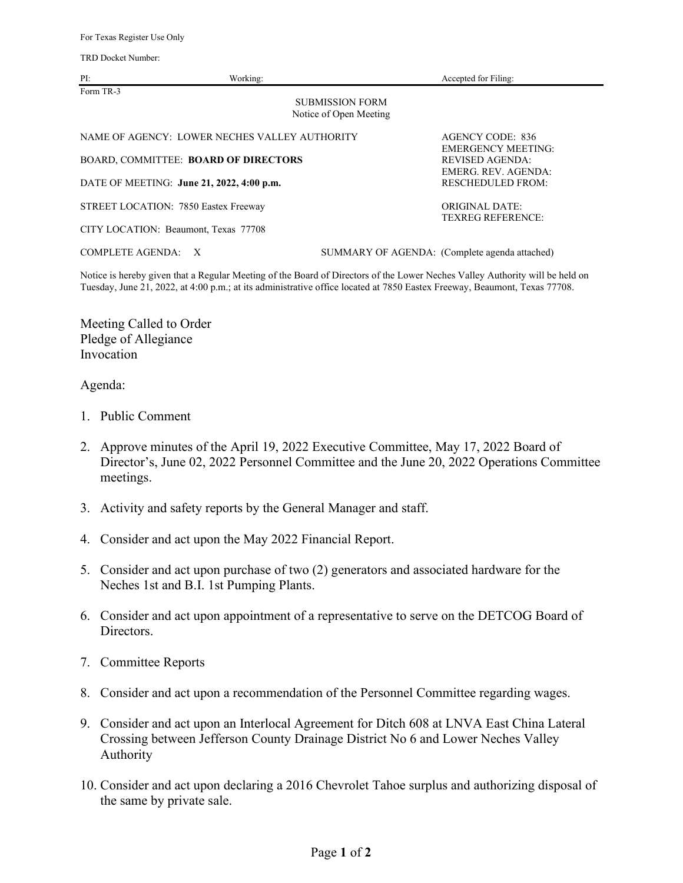TRD Docket Number:

| PI:                                                           | Working: | Accepted for Filing:                                                |
|---------------------------------------------------------------|----------|---------------------------------------------------------------------|
| Form TR-3<br><b>SUBMISSION FORM</b><br>Notice of Open Meeting |          |                                                                     |
| NAME OF AGENCY: LOWER NECHES VALLEY AUTHORITY                 |          | AGENCY CODE: 836                                                    |
| BOARD, COMMITTEE: BOARD OF DIRECTORS                          |          | <b>EMERGENCY MEETING:</b><br>REVISED AGENDA:<br>EMERG. REV. AGENDA: |
| DATE OF MEETING: June 21, 2022, 4:00 p.m.                     |          | <b>RESCHEDULED FROM:</b>                                            |
| STREET LOCATION: 7850 Eastex Freeway                          |          | ORIGINAL DATE:<br><b>TEXREG REFERENCE:</b>                          |
| CITY LOCATION: Beaumont, Texas 77708                          |          |                                                                     |
| <b>COMPLETE AGENDA:</b><br>$\mathbf{X}$                       |          | SUMMARY OF AGENDA: (Complete agenda attached)                       |

Notice is hereby given that a Regular Meeting of the Board of Directors of the Lower Neches Valley Authority will be held on Tuesday, June 21, 2022, at 4:00 p.m.; at its administrative office located at 7850 Eastex Freeway, Beaumont, Texas 77708.

Meeting Called to Order Pledge of Allegiance Invocation

## Agenda:

- 1. Public Comment
- 2. Approve minutes of the April 19, 2022 Executive Committee, May 17, 2022 Board of Director's, June 02, 2022 Personnel Committee and the June 20, 2022 Operations Committee meetings.
- 3. Activity and safety reports by the General Manager and staff.
- 4. Consider and act upon the May 2022 Financial Report.
- 5. Consider and act upon purchase of two (2) generators and associated hardware for the Neches 1st and B.I. 1st Pumping Plants.
- 6. Consider and act upon appointment of a representative to serve on the DETCOG Board of Directors.
- 7. Committee Reports
- 8. Consider and act upon a recommendation of the Personnel Committee regarding wages.
- 9. Consider and act upon an Interlocal Agreement for Ditch 608 at LNVA East China Lateral Crossing between Jefferson County Drainage District No 6 and Lower Neches Valley Authority
- 10. Consider and act upon declaring a 2016 Chevrolet Tahoe surplus and authorizing disposal of the same by private sale.